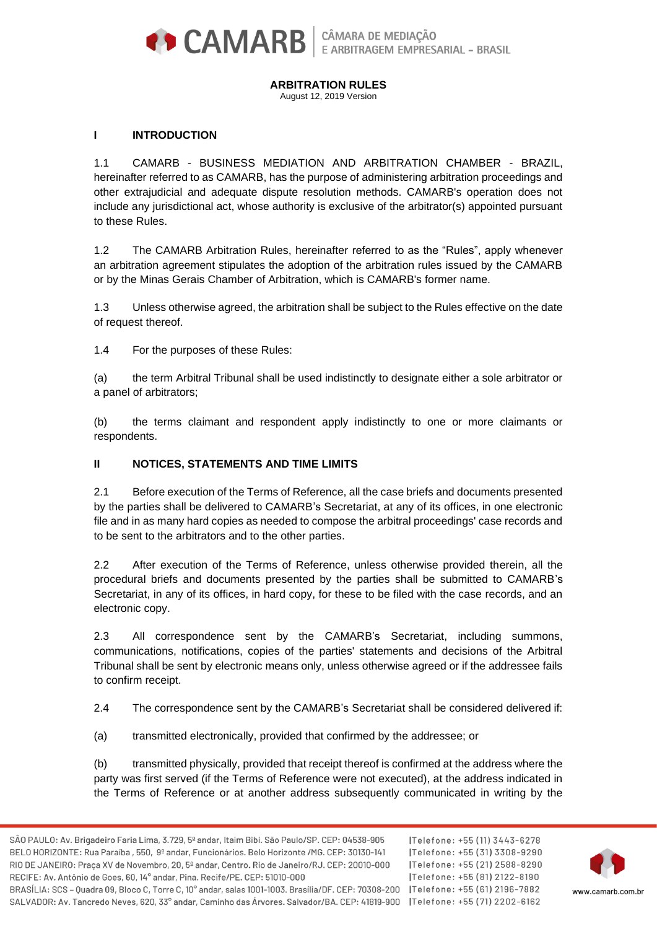

#### **ARBITRATION RULES**

August 12, 2019 Version

## **I INTRODUCTION**

1.1 CAMARB - BUSINESS MEDIATION AND ARBITRATION CHAMBER - BRAZIL, hereinafter referred to as CAMARB, has the purpose of administering arbitration proceedings and other extrajudicial and adequate dispute resolution methods. CAMARB's operation does not include any jurisdictional act, whose authority is exclusive of the arbitrator(s) appointed pursuant to these Rules.

1.2 The CAMARB Arbitration Rules, hereinafter referred to as the "Rules", apply whenever an arbitration agreement stipulates the adoption of the arbitration rules issued by the CAMARB or by the Minas Gerais Chamber of Arbitration, which is CAMARB's former name.

1.3 Unless otherwise agreed, the arbitration shall be subject to the Rules effective on the date of request thereof.

1.4 For the purposes of these Rules:

(a) the term Arbitral Tribunal shall be used indistinctly to designate either a sole arbitrator or a panel of arbitrators;

(b) the terms claimant and respondent apply indistinctly to one or more claimants or respondents.

### **II NOTICES, STATEMENTS AND TIME LIMITS**

2.1 Before execution of the Terms of Reference, all the case briefs and documents presented by the parties shall be delivered to CAMARB's Secretariat, at any of its offices, in one electronic file and in as many hard copies as needed to compose the arbitral proceedings' case records and to be sent to the arbitrators and to the other parties.

2.2 After execution of the Terms of Reference, unless otherwise provided therein, all the procedural briefs and documents presented by the parties shall be submitted to CAMARB's Secretariat, in any of its offices, in hard copy, for these to be filed with the case records, and an electronic copy.

2.3 All correspondence sent by the CAMARB's Secretariat, including summons, communications, notifications, copies of the parties' statements and decisions of the Arbitral Tribunal shall be sent by electronic means only, unless otherwise agreed or if the addressee fails to confirm receipt.

2.4 The correspondence sent by the CAMARB's Secretariat shall be considered delivered if:

(a) transmitted electronically, provided that confirmed by the addressee; or

(b) transmitted physically, provided that receipt thereof is confirmed at the address where the party was first served (if the Terms of Reference were not executed), at the address indicated in the Terms of Reference or at another address subsequently communicated in writing by the

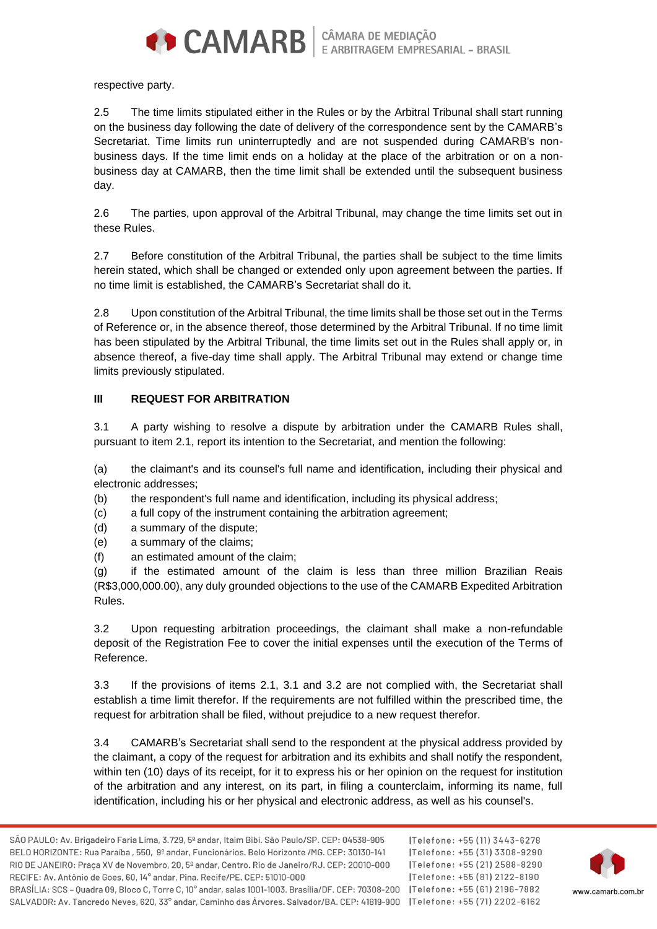

respective party.

2.5 The time limits stipulated either in the Rules or by the Arbitral Tribunal shall start running on the business day following the date of delivery of the correspondence sent by the CAMARB's Secretariat. Time limits run uninterruptedly and are not suspended during CAMARB's nonbusiness days. If the time limit ends on a holiday at the place of the arbitration or on a nonbusiness day at CAMARB, then the time limit shall be extended until the subsequent business day.

2.6 The parties, upon approval of the Arbitral Tribunal, may change the time limits set out in these Rules.

2.7 Before constitution of the Arbitral Tribunal, the parties shall be subject to the time limits herein stated, which shall be changed or extended only upon agreement between the parties. If no time limit is established, the CAMARB's Secretariat shall do it.

2.8 Upon constitution of the Arbitral Tribunal, the time limits shall be those set out in the Terms of Reference or, in the absence thereof, those determined by the Arbitral Tribunal. If no time limit has been stipulated by the Arbitral Tribunal, the time limits set out in the Rules shall apply or, in absence thereof, a five-day time shall apply. The Arbitral Tribunal may extend or change time limits previously stipulated.

## **III REQUEST FOR ARBITRATION**

3.1 A party wishing to resolve a dispute by arbitration under the CAMARB Rules shall, pursuant to item 2.1, report its intention to the Secretariat, and mention the following:

(a) the claimant's and its counsel's full name and identification, including their physical and electronic addresses;

(b) the respondent's full name and identification, including its physical address;

(c) a full copy of the instrument containing the arbitration agreement;

- (d) a summary of the dispute;
- (e) a summary of the claims;
- (f) an estimated amount of the claim;

(g) if the estimated amount of the claim is less than three million Brazilian Reais (R\$3,000,000.00), any duly grounded objections to the use of the CAMARB Expedited Arbitration Rules.

3.2 Upon requesting arbitration proceedings, the claimant shall make a non-refundable deposit of the Registration Fee to cover the initial expenses until the execution of the Terms of Reference.

3.3 If the provisions of items 2.1, 3.1 and 3.2 are not complied with, the Secretariat shall establish a time limit therefor. If the requirements are not fulfilled within the prescribed time, the request for arbitration shall be filed, without prejudice to a new request therefor.

3.4 CAMARB's Secretariat shall send to the respondent at the physical address provided by the claimant, a copy of the request for arbitration and its exhibits and shall notify the respondent, within ten (10) days of its receipt, for it to express his or her opinion on the request for institution of the arbitration and any interest, on its part, in filing a counterclaim, informing its name, full identification, including his or her physical and electronic address, as well as his counsel's.

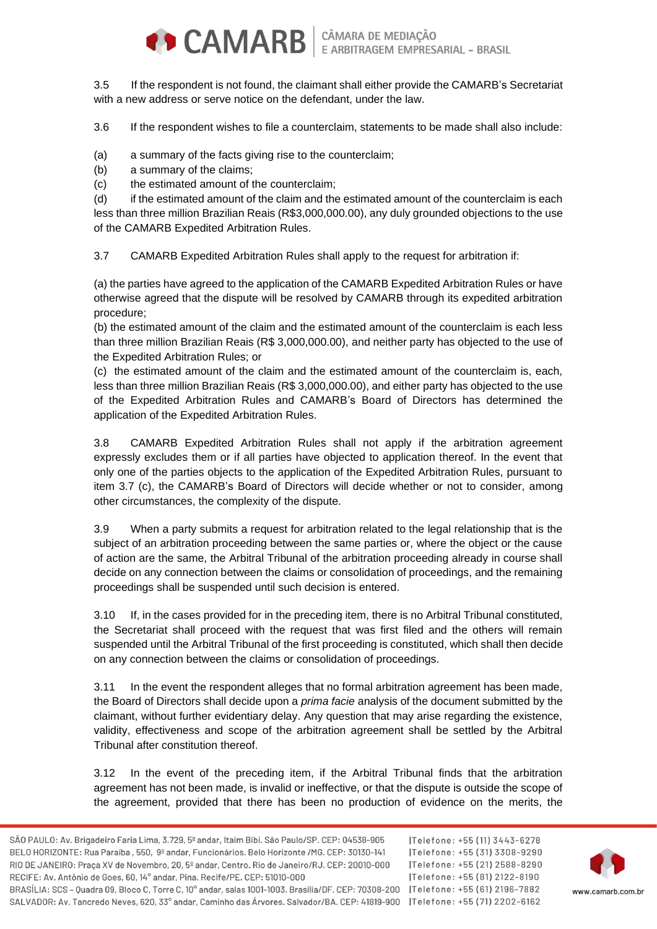

3.5 If the respondent is not found, the claimant shall either provide the CAMARB's Secretariat with a new address or serve notice on the defendant, under the law.

3.6 If the respondent wishes to file a counterclaim, statements to be made shall also include:

(a) a summary of the facts giving rise to the counterclaim;

(b) a summary of the claims;

(c) the estimated amount of the counterclaim;

(d) if the estimated amount of the claim and the estimated amount of the counterclaim is each less than three million Brazilian Reais (R\$3,000,000.00), any duly grounded objections to the use of the CAMARB Expedited Arbitration Rules.

3.7 CAMARB Expedited Arbitration Rules shall apply to the request for arbitration if:

(a) the parties have agreed to the application of the CAMARB Expedited Arbitration Rules or have otherwise agreed that the dispute will be resolved by CAMARB through its expedited arbitration procedure;

(b) the estimated amount of the claim and the estimated amount of the counterclaim is each less than three million Brazilian Reais (R\$ 3,000,000.00), and neither party has objected to the use of the Expedited Arbitration Rules; or

(c) the estimated amount of the claim and the estimated amount of the counterclaim is, each, less than three million Brazilian Reais (R\$ 3,000,000.00), and either party has objected to the use of the Expedited Arbitration Rules and CAMARB's Board of Directors has determined the application of the Expedited Arbitration Rules.

3.8 CAMARB Expedited Arbitration Rules shall not apply if the arbitration agreement expressly excludes them or if all parties have objected to application thereof. In the event that only one of the parties objects to the application of the Expedited Arbitration Rules, pursuant to item 3.7 (c), the CAMARB's Board of Directors will decide whether or not to consider, among other circumstances, the complexity of the dispute.

3.9 When a party submits a request for arbitration related to the legal relationship that is the subject of an arbitration proceeding between the same parties or, where the object or the cause of action are the same, the Arbitral Tribunal of the arbitration proceeding already in course shall decide on any connection between the claims or consolidation of proceedings, and the remaining proceedings shall be suspended until such decision is entered.

3.10 If, in the cases provided for in the preceding item, there is no Arbitral Tribunal constituted, the Secretariat shall proceed with the request that was first filed and the others will remain suspended until the Arbitral Tribunal of the first proceeding is constituted, which shall then decide on any connection between the claims or consolidation of proceedings.

3.11 In the event the respondent alleges that no formal arbitration agreement has been made, the Board of Directors shall decide upon a *prima facie* analysis of the document submitted by the claimant, without further evidentiary delay. Any question that may arise regarding the existence, validity, effectiveness and scope of the arbitration agreement shall be settled by the Arbitral Tribunal after constitution thereof.

3.12 In the event of the preceding item, if the Arbitral Tribunal finds that the arbitration agreement has not been made, is invalid or ineffective, or that the dispute is outside the scope of the agreement, provided that there has been no production of evidence on the merits, the

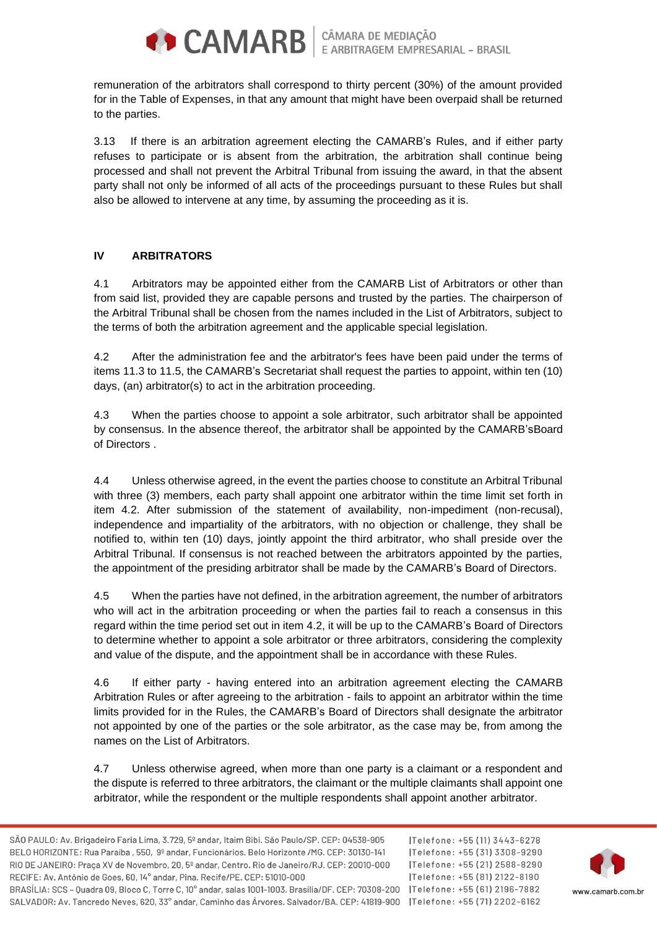

remuneration of the arbitrators shall correspond to thirty percent (30%) of the amount provided for in the Table of Expenses, in that any amount that might have been overpaid shall be returned to the parties.

3.13 If there is an arbitration agreement electing the CAMARB's Rules, and if either party refuses to participate or is absent from the arbitration, the arbitration shall continue being processed and shall not prevent the Arbitral Tribunal from issuing the award, in that the absent party shall not only be informed of all acts of the proceedings pursuant to these Rules but shall also be allowed to intervene at any time, by assuming the proceeding as it is.

# **IV ARBITRATORS**

4.1 Arbitrators may be appointed either from the CAMARB List of Arbitrators or other than from said list, provided they are capable persons and trusted by the parties. The chairperson of the Arbitral Tribunal shall be chosen from the names included in the List of Arbitrators, subject to the terms of both the arbitration agreement and the applicable special legislation.

4.2 After the administration fee and the arbitrator's fees have been paid under the terms of items 11.3 to 11.5, the CAMARB's Secretariat shall request the parties to appoint, within ten (10) days, (an) arbitrator(s) to act in the arbitration proceeding.

4.3 When the parties choose to appoint a sole arbitrator, such arbitrator shall be appointed by consensus. In the absence thereof, the arbitrator shall be appointed by the CAMARB'sBoard of Directors .

4.4 Unless otherwise agreed, in the event the parties choose to constitute an Arbitral Tribunal with three (3) members, each party shall appoint one arbitrator within the time limit set forth in item 4.2. After submission of the statement of availability, non-impediment (non-recusal), independence and impartiality of the arbitrators, with no objection or challenge, they shall be notified to, within ten (10) days, jointly appoint the third arbitrator, who shall preside over the Arbitral Tribunal. If consensus is not reached between the arbitrators appointed by the parties, the appointment of the presiding arbitrator shall be made by the CAMARB's Board of Directors.

4.5 When the parties have not defined, in the arbitration agreement, the number of arbitrators who will act in the arbitration proceeding or when the parties fail to reach a consensus in this regard within the time period set out in item 4.2, it will be up to the CAMARB's Board of Directors to determine whether to appoint a sole arbitrator or three arbitrators, considering the complexity and value of the dispute, and the appointment shall be in accordance with these Rules.

4.6 If either party - having entered into an arbitration agreement electing the CAMARB Arbitration Rules or after agreeing to the arbitration - fails to appoint an arbitrator within the time limits provided for in the Rules, the CAMARB's Board of Directors shall designate the arbitrator not appointed by one of the parties or the sole arbitrator, as the case may be, from among the names on the List of Arbitrators.

4.7 Unless otherwise agreed, when more than one party is a claimant or a respondent and the dispute is referred to three arbitrators, the claimant or the multiple claimants shall appoint one arbitrator, while the respondent or the multiple respondents shall appoint another arbitrator.

ITelefone: +55 (11) 3443-6278 |Telefone: +55 (31) 3308-9290 Telefone: +55 (21) 2588-8290 |Telefone: +55 (81) 2122-8190

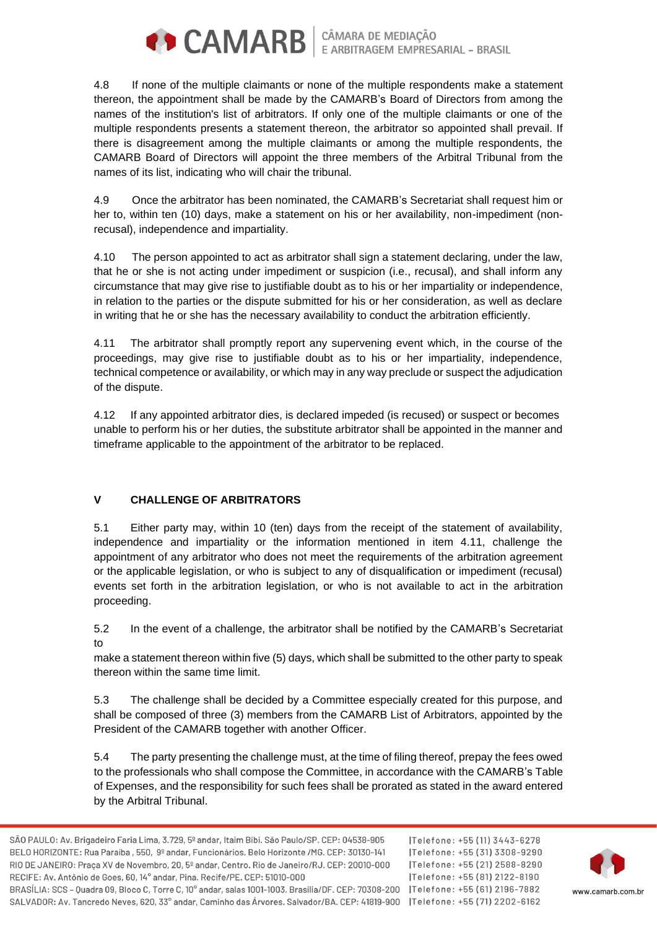

**CAMARB** E ARBITRAGEM EMPRESARIAL - BRASIL

4.8 If none of the multiple claimants or none of the multiple respondents make a statement thereon, the appointment shall be made by the CAMARB's Board of Directors from among the names of the institution's list of arbitrators. If only one of the multiple claimants or one of the multiple respondents presents a statement thereon, the arbitrator so appointed shall prevail. If there is disagreement among the multiple claimants or among the multiple respondents, the CAMARB Board of Directors will appoint the three members of the Arbitral Tribunal from the names of its list, indicating who will chair the tribunal.

4.9 Once the arbitrator has been nominated, the CAMARB's Secretariat shall request him or her to, within ten (10) days, make a statement on his or her availability, non-impediment (nonrecusal), independence and impartiality.

4.10 The person appointed to act as arbitrator shall sign a statement declaring, under the law, that he or she is not acting under impediment or suspicion (i.e., recusal), and shall inform any circumstance that may give rise to justifiable doubt as to his or her impartiality or independence, in relation to the parties or the dispute submitted for his or her consideration, as well as declare in writing that he or she has the necessary availability to conduct the arbitration efficiently.

4.11 The arbitrator shall promptly report any supervening event which, in the course of the proceedings, may give rise to justifiable doubt as to his or her impartiality, independence, technical competence or availability, or which may in any way preclude or suspect the adjudication of the dispute.

4.12 If any appointed arbitrator dies, is declared impeded (is recused) or suspect or becomes unable to perform his or her duties, the substitute arbitrator shall be appointed in the manner and timeframe applicable to the appointment of the arbitrator to be replaced.

# **V CHALLENGE OF ARBITRATORS**

5.1 Either party may, within 10 (ten) days from the receipt of the statement of availability, independence and impartiality or the information mentioned in item 4.11, challenge the appointment of any arbitrator who does not meet the requirements of the arbitration agreement or the applicable legislation, or who is subject to any of disqualification or impediment (recusal) events set forth in the arbitration legislation, or who is not available to act in the arbitration proceeding.

5.2 In the event of a challenge, the arbitrator shall be notified by the CAMARB's Secretariat to

make a statement thereon within five (5) days, which shall be submitted to the other party to speak thereon within the same time limit.

5.3 The challenge shall be decided by a Committee especially created for this purpose, and shall be composed of three (3) members from the CAMARB List of Arbitrators, appointed by the President of the CAMARB together with another Officer.

5.4 The party presenting the challenge must, at the time of filing thereof, prepay the fees owed to the professionals who shall compose the Committee, in accordance with the CAMARB's Table of Expenses, and the responsibility for such fees shall be prorated as stated in the award entered by the Arbitral Tribunal.

|Telefone: +55 (11) 3443-6278 |Telefone: +55 (31) 3308-9290 Telefone: +55 (21) 2588-8290 Telefone: +55 (81) 2122-8190

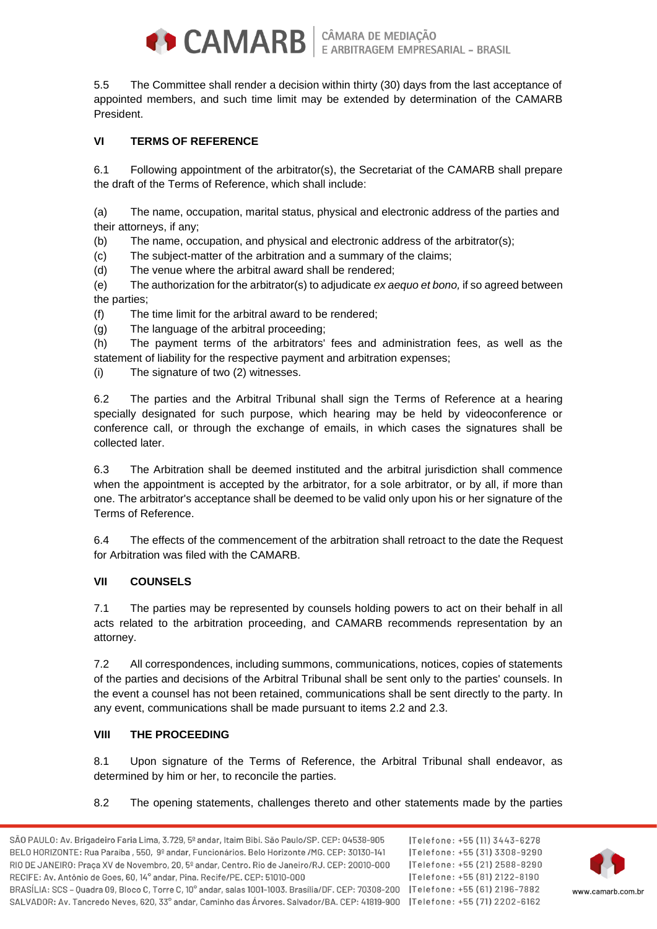

5.5 The Committee shall render a decision within thirty (30) days from the last acceptance of appointed members, and such time limit may be extended by determination of the CAMARB **President** 

# **VI TERMS OF REFERENCE**

6.1 Following appointment of the arbitrator(s), the Secretariat of the CAMARB shall prepare the draft of the Terms of Reference, which shall include:

(a) The name, occupation, marital status, physical and electronic address of the parties and their attorneys, if any;

(b) The name, occupation, and physical and electronic address of the arbitrator(s);

(c) The subject-matter of the arbitration and a summary of the claims;

(d) The venue where the arbitral award shall be rendered;

(e) The authorization for the arbitrator(s) to adjudicate *ex aequo et bono,* if so agreed between the parties;

(f) The time limit for the arbitral award to be rendered;

(g) The language of the arbitral proceeding;

(h) The payment terms of the arbitrators' fees and administration fees, as well as the statement of liability for the respective payment and arbitration expenses;

(i) The signature of two (2) witnesses.

6.2 The parties and the Arbitral Tribunal shall sign the Terms of Reference at a hearing specially designated for such purpose, which hearing may be held by videoconference or conference call, or through the exchange of emails, in which cases the signatures shall be collected later.

6.3 The Arbitration shall be deemed instituted and the arbitral jurisdiction shall commence when the appointment is accepted by the arbitrator, for a sole arbitrator, or by all, if more than one. The arbitrator's acceptance shall be deemed to be valid only upon his or her signature of the Terms of Reference.

6.4 The effects of the commencement of the arbitration shall retroact to the date the Request for Arbitration was filed with the CAMARB.

### **VII COUNSELS**

7.1 The parties may be represented by counsels holding powers to act on their behalf in all acts related to the arbitration proceeding, and CAMARB recommends representation by an attorney.

7.2 All correspondences, including summons, communications, notices, copies of statements of the parties and decisions of the Arbitral Tribunal shall be sent only to the parties' counsels. In the event a counsel has not been retained, communications shall be sent directly to the party. In any event, communications shall be made pursuant to items 2.2 and 2.3.

### **VIII THE PROCEEDING**

8.1 Upon signature of the Terms of Reference, the Arbitral Tribunal shall endeavor, as determined by him or her, to reconcile the parties.

### 8.2 The opening statements, challenges thereto and other statements made by the parties

ITelefone: +55 (11) 3443-6278 |Telefone: +55 (31) 3308-9290 |Telefone: +55 (21) 2588-8290 |Telefone: +55 (81) 2122-8190

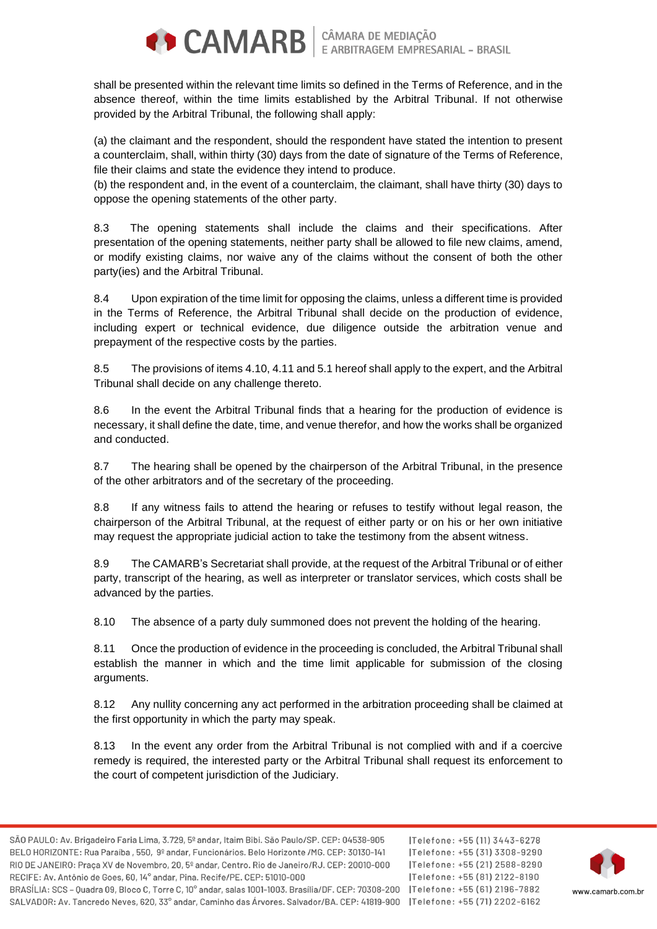

shall be presented within the relevant time limits so defined in the Terms of Reference, and in the absence thereof, within the time limits established by the Arbitral Tribunal. If not otherwise provided by the Arbitral Tribunal, the following shall apply:

(a) the claimant and the respondent, should the respondent have stated the intention to present a counterclaim, shall, within thirty (30) days from the date of signature of the Terms of Reference, file their claims and state the evidence they intend to produce.

(b) the respondent and, in the event of a counterclaim, the claimant, shall have thirty (30) days to oppose the opening statements of the other party.

8.3 The opening statements shall include the claims and their specifications. After presentation of the opening statements, neither party shall be allowed to file new claims, amend, or modify existing claims, nor waive any of the claims without the consent of both the other party(ies) and the Arbitral Tribunal.

8.4 Upon expiration of the time limit for opposing the claims, unless a different time is provided in the Terms of Reference, the Arbitral Tribunal shall decide on the production of evidence, including expert or technical evidence, due diligence outside the arbitration venue and prepayment of the respective costs by the parties.

8.5 The provisions of items 4.10, 4.11 and 5.1 hereof shall apply to the expert, and the Arbitral Tribunal shall decide on any challenge thereto.

8.6 In the event the Arbitral Tribunal finds that a hearing for the production of evidence is necessary, it shall define the date, time, and venue therefor, and how the works shall be organized and conducted.

8.7 The hearing shall be opened by the chairperson of the Arbitral Tribunal, in the presence of the other arbitrators and of the secretary of the proceeding.

8.8 If any witness fails to attend the hearing or refuses to testify without legal reason, the chairperson of the Arbitral Tribunal, at the request of either party or on his or her own initiative may request the appropriate judicial action to take the testimony from the absent witness.

8.9 The CAMARB's Secretariat shall provide, at the request of the Arbitral Tribunal or of either party, transcript of the hearing, as well as interpreter or translator services, which costs shall be advanced by the parties.

8.10 The absence of a party duly summoned does not prevent the holding of the hearing.

8.11 Once the production of evidence in the proceeding is concluded, the Arbitral Tribunal shall establish the manner in which and the time limit applicable for submission of the closing arguments.

8.12 Any nullity concerning any act performed in the arbitration proceeding shall be claimed at the first opportunity in which the party may speak.

8.13 In the event any order from the Arbitral Tribunal is not complied with and if a coercive remedy is required, the interested party or the Arbitral Tribunal shall request its enforcement to the court of competent jurisdiction of the Judiciary.

ITelefone: +55 (11) 3443-6278 |Telefone: +55 (31) 3308-9290 Telefone: +55 (21) 2588-8290 Telefone: +55 (81) 2122-8190

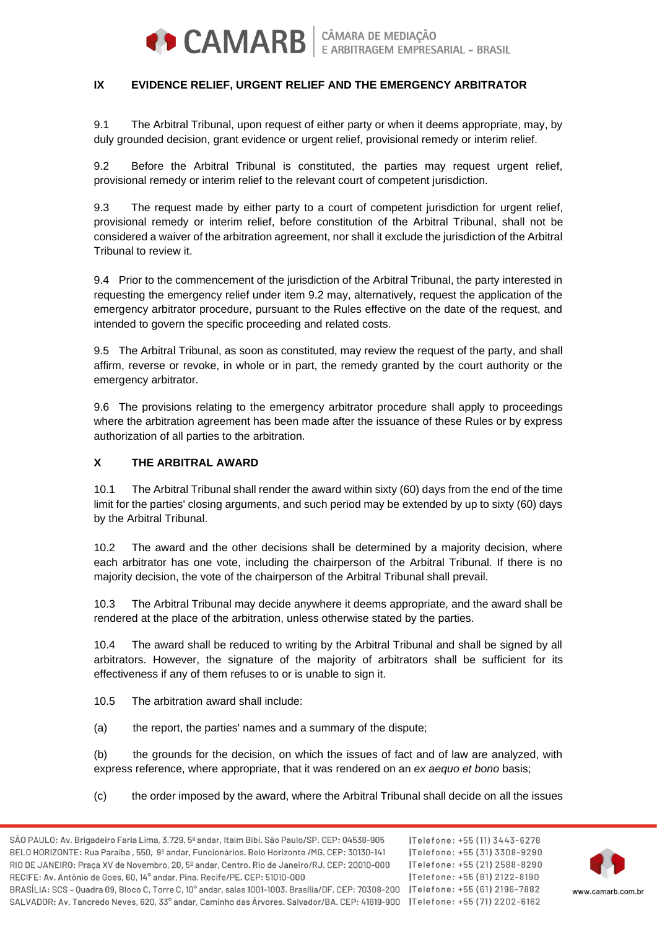

### **IX EVIDENCE RELIEF, URGENT RELIEF AND THE EMERGENCY ARBITRATOR**

9.1 The Arbitral Tribunal, upon request of either party or when it deems appropriate, may, by duly grounded decision, grant evidence or urgent relief, provisional remedy or interim relief.

9.2 Before the Arbitral Tribunal is constituted, the parties may request urgent relief, provisional remedy or interim relief to the relevant court of competent jurisdiction.

9.3 The request made by either party to a court of competent jurisdiction for urgent relief, provisional remedy or interim relief, before constitution of the Arbitral Tribunal, shall not be considered a waiver of the arbitration agreement, nor shall it exclude the jurisdiction of the Arbitral Tribunal to review it.

9.4 Prior to the commencement of the jurisdiction of the Arbitral Tribunal, the party interested in requesting the emergency relief under item 9.2 may, alternatively, request the application of the emergency arbitrator procedure, pursuant to the Rules effective on the date of the request, and intended to govern the specific proceeding and related costs.

9.5 The Arbitral Tribunal, as soon as constituted, may review the request of the party, and shall affirm, reverse or revoke, in whole or in part, the remedy granted by the court authority or the emergency arbitrator.

9.6 The provisions relating to the emergency arbitrator procedure shall apply to proceedings where the arbitration agreement has been made after the issuance of these Rules or by express authorization of all parties to the arbitration.

#### **X THE ARBITRAL AWARD**

10.1 The Arbitral Tribunal shall render the award within sixty (60) days from the end of the time limit for the parties' closing arguments, and such period may be extended by up to sixty (60) days by the Arbitral Tribunal.

10.2 The award and the other decisions shall be determined by a majority decision, where each arbitrator has one vote, including the chairperson of the Arbitral Tribunal. If there is no majority decision, the vote of the chairperson of the Arbitral Tribunal shall prevail.

10.3 The Arbitral Tribunal may decide anywhere it deems appropriate, and the award shall be rendered at the place of the arbitration, unless otherwise stated by the parties.

10.4 The award shall be reduced to writing by the Arbitral Tribunal and shall be signed by all arbitrators. However, the signature of the majority of arbitrators shall be sufficient for its effectiveness if any of them refuses to or is unable to sign it.

- 10.5 The arbitration award shall include:
- (a) the report, the parties' names and a summary of the dispute;

(b) the grounds for the decision, on which the issues of fact and of law are analyzed, with express reference, where appropriate, that it was rendered on an *ex aequo et bono* basis;

(c) the order imposed by the award, where the Arbitral Tribunal shall decide on all the issues

Telefone: +55 (11) 3443-6278 |Telefone: +55 (31) 3308-9290 |Telefone: +55 (21) 2588-8290 Telefone: +55 (81) 2122-8190

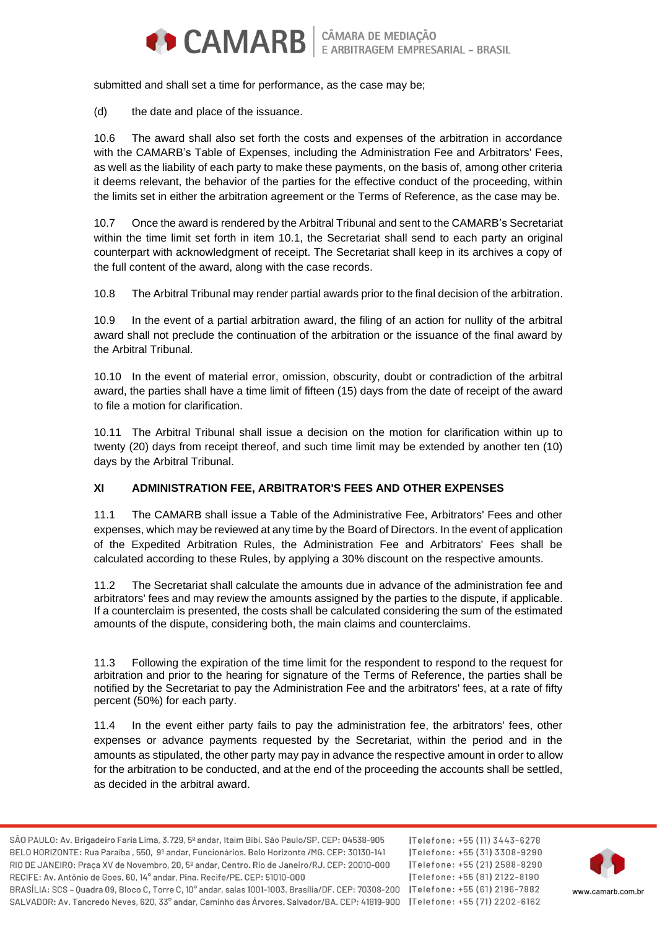

submitted and shall set a time for performance, as the case may be;

(d) the date and place of the issuance.

10.6 The award shall also set forth the costs and expenses of the arbitration in accordance with the CAMARB's Table of Expenses, including the Administration Fee and Arbitrators' Fees, as well as the liability of each party to make these payments, on the basis of, among other criteria it deems relevant, the behavior of the parties for the effective conduct of the proceeding, within the limits set in either the arbitration agreement or the Terms of Reference, as the case may be.

10.7 Once the award is rendered by the Arbitral Tribunal and sent to the CAMARB's Secretariat within the time limit set forth in item 10.1, the Secretariat shall send to each party an original counterpart with acknowledgment of receipt. The Secretariat shall keep in its archives a copy of the full content of the award, along with the case records.

10.8 The Arbitral Tribunal may render partial awards prior to the final decision of the arbitration.

10.9 In the event of a partial arbitration award, the filing of an action for nullity of the arbitral award shall not preclude the continuation of the arbitration or the issuance of the final award by the Arbitral Tribunal.

10.10 In the event of material error, omission, obscurity, doubt or contradiction of the arbitral award, the parties shall have a time limit of fifteen (15) days from the date of receipt of the award to file a motion for clarification.

10.11 The Arbitral Tribunal shall issue a decision on the motion for clarification within up to twenty (20) days from receipt thereof, and such time limit may be extended by another ten (10) days by the Arbitral Tribunal.

### **XI ADMINISTRATION FEE, ARBITRATOR'S FEES AND OTHER EXPENSES**

11.1 The CAMARB shall issue a Table of the Administrative Fee, Arbitrators' Fees and other expenses, which may be reviewed at any time by the Board of Directors. In the event of application of the Expedited Arbitration Rules, the Administration Fee and Arbitrators' Fees shall be calculated according to these Rules, by applying a 30% discount on the respective amounts.

11.2 The Secretariat shall calculate the amounts due in advance of the administration fee and arbitrators' fees and may review the amounts assigned by the parties to the dispute, if applicable. If a counterclaim is presented, the costs shall be calculated considering the sum of the estimated amounts of the dispute, considering both, the main claims and counterclaims.

11.3 Following the expiration of the time limit for the respondent to respond to the request for arbitration and prior to the hearing for signature of the Terms of Reference, the parties shall be notified by the Secretariat to pay the Administration Fee and the arbitrators' fees, at a rate of fifty percent (50%) for each party.

11.4 In the event either party fails to pay the administration fee, the arbitrators' fees, other expenses or advance payments requested by the Secretariat, within the period and in the amounts as stipulated, the other party may pay in advance the respective amount in order to allow for the arbitration to be conducted, and at the end of the proceeding the accounts shall be settled, as decided in the arbitral award.

ITelefone: +55 (11) 3443-6278 |Telefone: +55 (31) 3308-9290 Telefone: +55 (21) 2588-8290 |Telefone: +55 (81) 2122-8190 SALVADOR: Av. Tancredo Neves, 620, 33° andar, Caminho das Árvores, Salvador/BA, CEP: 41819-900 | Telefone: +55 (71) 2202-6162

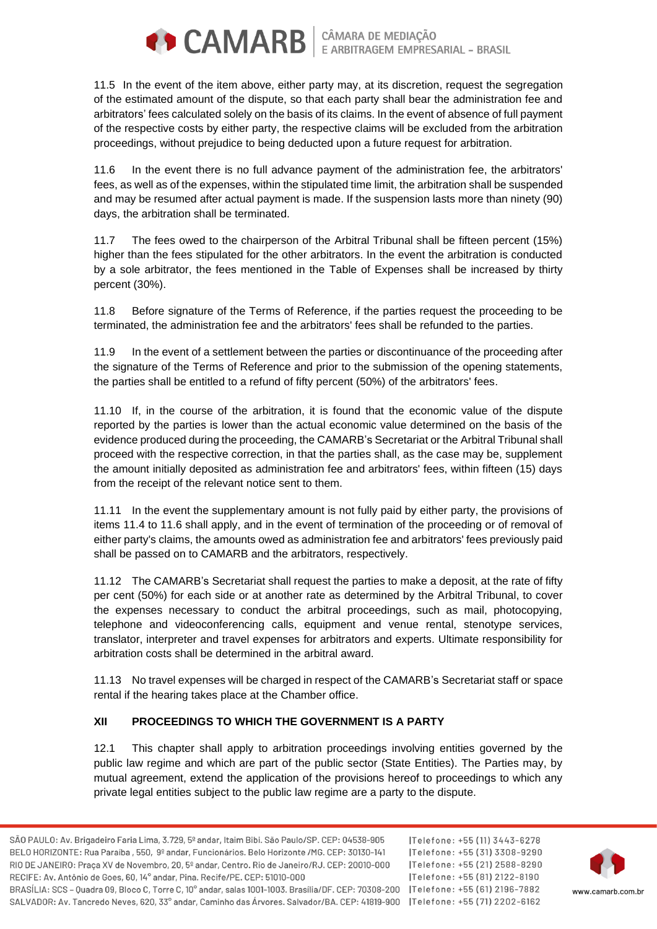

**CAMARB** E ARBITRAGEM EMPRESARIAL - BRASIL

11.5 In the event of the item above, either party may, at its discretion, request the segregation of the estimated amount of the dispute, so that each party shall bear the administration fee and arbitrators' fees calculated solely on the basis of its claims. In the event of absence of full payment of the respective costs by either party, the respective claims will be excluded from the arbitration proceedings, without prejudice to being deducted upon a future request for arbitration.

11.6 In the event there is no full advance payment of the administration fee, the arbitrators' fees, as well as of the expenses, within the stipulated time limit, the arbitration shall be suspended and may be resumed after actual payment is made. If the suspension lasts more than ninety (90) days, the arbitration shall be terminated.

11.7 The fees owed to the chairperson of the Arbitral Tribunal shall be fifteen percent (15%) higher than the fees stipulated for the other arbitrators. In the event the arbitration is conducted by a sole arbitrator, the fees mentioned in the Table of Expenses shall be increased by thirty percent (30%).

11.8 Before signature of the Terms of Reference, if the parties request the proceeding to be terminated, the administration fee and the arbitrators' fees shall be refunded to the parties.

11.9 In the event of a settlement between the parties or discontinuance of the proceeding after the signature of the Terms of Reference and prior to the submission of the opening statements, the parties shall be entitled to a refund of fifty percent (50%) of the arbitrators' fees.

11.10 If, in the course of the arbitration, it is found that the economic value of the dispute reported by the parties is lower than the actual economic value determined on the basis of the evidence produced during the proceeding, the CAMARB's Secretariat or the Arbitral Tribunal shall proceed with the respective correction, in that the parties shall, as the case may be, supplement the amount initially deposited as administration fee and arbitrators' fees, within fifteen (15) days from the receipt of the relevant notice sent to them.

11.11 In the event the supplementary amount is not fully paid by either party, the provisions of items 11.4 to 11.6 shall apply, and in the event of termination of the proceeding or of removal of either party's claims, the amounts owed as administration fee and arbitrators' fees previously paid shall be passed on to CAMARB and the arbitrators, respectively.

11.12 The CAMARB's Secretariat shall request the parties to make a deposit, at the rate of fifty per cent (50%) for each side or at another rate as determined by the Arbitral Tribunal, to cover the expenses necessary to conduct the arbitral proceedings, such as mail, photocopying, telephone and videoconferencing calls, equipment and venue rental, stenotype services, translator, interpreter and travel expenses for arbitrators and experts. Ultimate responsibility for arbitration costs shall be determined in the arbitral award.

11.13 No travel expenses will be charged in respect of the CAMARB's Secretariat staff or space rental if the hearing takes place at the Chamber office.

# **XII PROCEEDINGS TO WHICH THE GOVERNMENT IS A PARTY**

12.1 This chapter shall apply to arbitration proceedings involving entities governed by the public law regime and which are part of the public sector (State Entities). The Parties may, by mutual agreement, extend the application of the provisions hereof to proceedings to which any private legal entities subject to the public law regime are a party to the dispute.

ITelefone: +55 (11) 3443-6278 |Telefone: +55 (31) 3308-9290 Telefone: +55 (21) 2588-8290 Telefone: +55 (81) 2122-8190

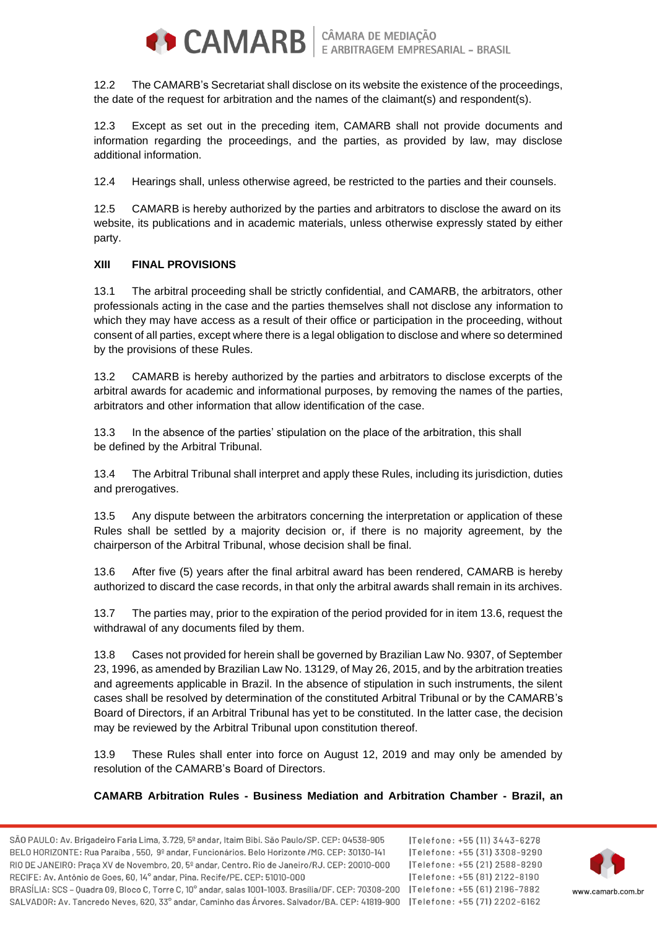

12.2 The CAMARB's Secretariat shall disclose on its website the existence of the proceedings, the date of the request for arbitration and the names of the claimant(s) and respondent(s).

12.3 Except as set out in the preceding item, CAMARB shall not provide documents and information regarding the proceedings, and the parties, as provided by law, may disclose additional information.

12.4 Hearings shall, unless otherwise agreed, be restricted to the parties and their counsels.

12.5 CAMARB is hereby authorized by the parties and arbitrators to disclose the award on its website, its publications and in academic materials, unless otherwise expressly stated by either party.

## **XIII FINAL PROVISIONS**

13.1 The arbitral proceeding shall be strictly confidential, and CAMARB, the arbitrators, other professionals acting in the case and the parties themselves shall not disclose any information to which they may have access as a result of their office or participation in the proceeding, without consent of all parties, except where there is a legal obligation to disclose and where so determined by the provisions of these Rules.

13.2 CAMARB is hereby authorized by the parties and arbitrators to disclose excerpts of the arbitral awards for academic and informational purposes, by removing the names of the parties, arbitrators and other information that allow identification of the case.

13.3 In the absence of the parties' stipulation on the place of the arbitration, this shall be defined by the Arbitral Tribunal.

13.4 The Arbitral Tribunal shall interpret and apply these Rules, including its jurisdiction, duties and prerogatives.

13.5 Any dispute between the arbitrators concerning the interpretation or application of these Rules shall be settled by a majority decision or, if there is no majority agreement, by the chairperson of the Arbitral Tribunal, whose decision shall be final.

13.6 After five (5) years after the final arbitral award has been rendered, CAMARB is hereby authorized to discard the case records, in that only the arbitral awards shall remain in its archives.

13.7 The parties may, prior to the expiration of the period provided for in item 13.6, request the withdrawal of any documents filed by them.

13.8 Cases not provided for herein shall be governed by Brazilian Law No. 9307, of September 23, 1996, as amended by Brazilian Law No. 13129, of May 26, 2015, and by the arbitration treaties and agreements applicable in Brazil. In the absence of stipulation in such instruments, the silent cases shall be resolved by determination of the constituted Arbitral Tribunal or by the CAMARB's Board of Directors, if an Arbitral Tribunal has yet to be constituted. In the latter case, the decision may be reviewed by the Arbitral Tribunal upon constitution thereof.

13.9 These Rules shall enter into force on August 12, 2019 and may only be amended by resolution of the CAMARB's Board of Directors.

**CAMARB Arbitration Rules - Business Mediation and Arbitration Chamber - Brazil, an** 

ITelefone: +55 (11) 3443-6278 |Telefone: +55 (31) 3308-9290 Telefone: +55 (21) 2588-8290 Telefone: +55 (81) 2122-8190